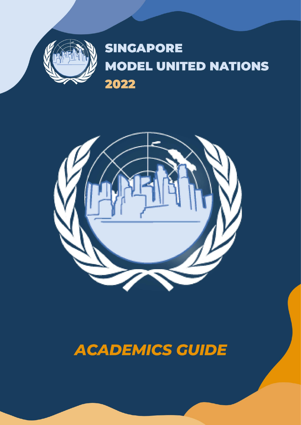

# **SINGAPORE MODEL UNITED NATIONS** 2022



# **ACADEMICS GUIDE**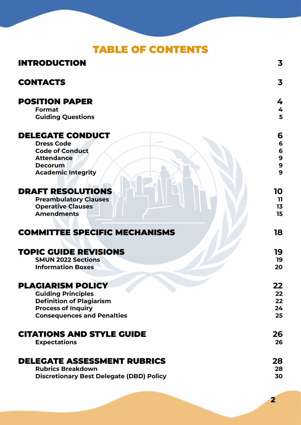### TABLE OF CONTENTS

| <b>INTRODUCTION</b>                                            | 3        |
|----------------------------------------------------------------|----------|
| <b>CONTACTS</b>                                                | 3        |
| <b>POSITION PAPER</b>                                          | 4        |
| <b>Format</b>                                                  | 4        |
| <b>Guiding Questions</b>                                       | 5        |
| <b>DELEGATE CONDUCT</b>                                        | 6        |
| <b>Dress Code</b>                                              | 6        |
| <b>Code of Conduct</b>                                         | 6<br>9   |
| <b>Attendance</b>                                              |          |
| <b>Decorum</b>                                                 | 9<br>9   |
| <b>Academic Integrity</b>                                      |          |
| <b>DRAFT RESOLUTIONS</b>                                       | 10       |
| <b>Preambulatory Clauses</b>                                   | 11       |
| <b>Operative Clauses</b>                                       | 13       |
| <b>Amendments</b>                                              | 15       |
|                                                                |          |
| <b>COMMITTEE SPECIFIC MECHANISMS</b>                           | 18       |
|                                                                |          |
| <b>TOPIC GUIDE REVISIONS</b>                                   | 19       |
| <b>SMUN 2022 Sections</b>                                      | 19       |
| <b>Information Boxes</b>                                       | 20       |
| <b>PLAGIARISM POLICY</b>                                       | 22       |
| <b>Guiding Principles</b>                                      | 22       |
| <b>Definition of Plagiarism</b>                                | 22       |
| <b>Process of Inquiry</b>                                      | 24       |
| <b>Consequences and Penalties</b>                              | 25       |
| <b>CITATIONS AND STYLE GUIDE</b>                               | 26       |
| <b>Expectations</b>                                            | 26       |
|                                                                |          |
| <b>DELEGATE ASSESSMENT RUBRICS</b><br><b>Rubrics Breakdown</b> | 28<br>28 |
| <b>Discretionary Best Delegate (DBD) Policy</b>                | 30       |
|                                                                |          |

**2**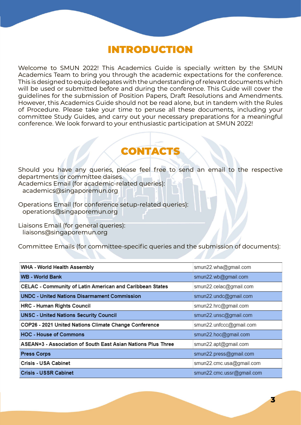### INTRODUCTION

<span id="page-2-0"></span>Welcome to SMUN 2022! This Academics Guide is specially written by the SMUN Academics Team to bring you through the academic expectations for the conference. This is designed to equip delegates with the understanding of relevant documents which will be used or submitted before and during the conference. This Guide will cover the guidelines for the submission of Position Papers, Draft Resolutions and Amendments. However, this Academics Guide should not be read alone, but in tandem with the Rules of Procedure. Please take your time to peruse all these documents, including your committee Study Guides, and carry out your necessary preparations for a meaningful conference. We look forward to your enthusiastic participation at SMUN 2022!

### CONTACTS

Should you have any queries, please feel free to send an email to the respective departments or committee daises. Academics Email (for academic-related queries): academics@singaporemun.org

Operations Email (for conference setup-related queries): operations@singaporemun.org

Liaisons Email (for general queries): liaisons@singaporemun.org

Committee Emails (for committee-specific queries and the submission of documents):

| WHA - World Health Assembly                                  | smun22.wha@gmail.com      |
|--------------------------------------------------------------|---------------------------|
| <b>WB - World Bank</b>                                       | smun22.wb@gmail.com       |
| CELAC - Community of Latin American and Caribbean States     | smun22.celac@gmail.com    |
| <b>UNDC - United Nations Disarmament Commission</b>          | smun22.undc@gmail.com     |
| <b>HRC - Human Rights Council</b>                            | smun22.hrc@gmail.com      |
| <b>UNSC - United Nations Security Council</b>                | smun22.unsc@gmail.com     |
| COP26 - 2021 United Nations Climate Change Conference        | smun22.unfccc@gmail.com   |
| <b>HOC - House of Commons</b>                                | smun22.hoc@gmail.com      |
| ASEAN+3 - Association of South East Asian Nations Plus Three | smun22.apt@gmail.com      |
| <b>Press Corps</b>                                           | smun22.press@gmail.com    |
| Crisis - USA Cabinet                                         | smun22.cmc.usa@gmail.com  |
| Crisis - USSR Cabinet                                        | smun22.cmc.ussr@gmail.com |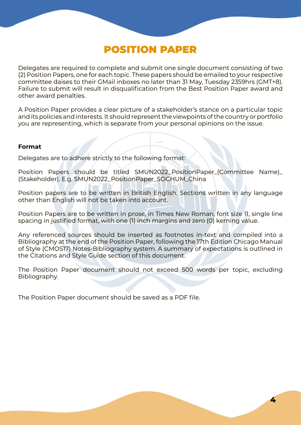### POSITION PAPER

<span id="page-3-0"></span>Delegates are required to complete and submit one single document consisting of two (2) Position Papers, one for each topic. These papers should be emailed to your respective committee daises to their GMail inboxes no later than 31 May, Tuesday 2359hrs (GMT+8). Failure to submit will result in disqualification from the Best Position Paper award and other award penalties.

A Position Paper provides a clear picture of a stakeholder's stance on a particular topic and its policies and interests. It should represent the viewpoints of the country or portfolio you are representing, which is separate from your personal opinions on the issue.

#### **Format**

Delegates are to adhere strictly to the following format:

Position Papers should be titled SMUN2022\_PositionPaper\_(Committee Name)\_ (Stakeholder). E.g. SMUN2022\_PositionPaper\_SOCHUM\_China

Position papers are to be written in British English. Sections written in any language other than English will not be taken into account.

Position Papers are to be written in prose, in Times New Roman, font size 11, single line spacing in justified format, with one (1) inch margins and zero (0) kerning value.

Any referenced sources should be inserted as footnotes in-text and compiled into a Bibliography at the end of the Position Paper, following the 17th Edition Chicago Manual of Style (CMOS17) Notes-Bibliography system. A summary of expectations is outlined in the Citations and Style Guide section of this document.

The Position Paper document should not exceed 500 words per topic, excluding Bibliography.

The Position Paper document should be saved as a PDF file.

**4**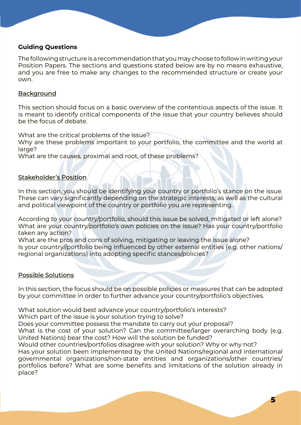#### <span id="page-4-0"></span>**Guiding Questions**

The following structure is a recommendation that you may choose to follow in writing your Position Papers. The sections and questions stated below are by no means exhaustive, and you are free to make any changes to the recommended structure or create your own.

#### **Background**

This section should focus on a basic overview of the contentious aspects of the issue. It is meant to identify critical components of the issue that your country believes should be the focus of debate.

What are the critical problems of the issue?

Why are these problems important to your portfolio, the committee and the world at large?

What are the causes, proximal and root, of these problems?

#### Stakeholder's Position

In this section, you should be identifying your country or portfolio's stance on the issue. These can vary significantly depending on the strategic interests, as well as the cultural and political viewpoint of the country or portfolio you are representing.

According to your country/portfolio, should this issue be solved, mitigated or left alone? What are your country/portfolio's own policies on the issue? Has your country/portfolio taken any action?

What are the pros and cons of solving, mitigating or leaving the issue alone? Is your country//portfolio being influenced by other external entities (e.g. other nations/ regional organizations) into adopting specific stances/policies?

#### Possible Solutions

In this section, the focus should be on possible policies or measures that can be adopted by your committee in order to further advance your country/portfolio's objectives.

What solution would best advance your country/portfolio's interests? Which part of the issue is your solution trying to solve? Does your committee possess the mandate to carry out your proposal? What is the cost of your solution? Can the committee/larger overarching body (e.g. United Nations) bear the cost? How will the solution be funded? Would other countries/portfolios disagree with your solution? Why or why not? Has your solution been implemented by the United Nations/regional and international governmental organizations/non-state entities and organizations/other countries/ portfolios before? What are some benefits and limitations of the solution already in place?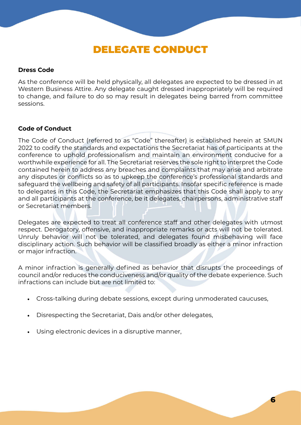### DELEGATE CONDUCT

#### <span id="page-5-0"></span>**Dress Code**

As the conference will be held physically, all delegates are expected to be dressed in at Western Business Attire. Any delegate caught dressed inappropriately will be required to change, and failure to do so may result in delegates being barred from committee sessions.

#### **Code of Conduct**

The Code of Conduct (referred to as "Code" thereafter) is established herein at SMUN 2022 to codify the standards and expectations the Secretariat has of participants at the conference to uphold professionalism and maintain an environment conducive for a worthwhile experience for all. The Secretariat reserves the sole right to interpret the Code contained herein to address any breaches and complaints that may arise and arbitrate any disputes or conflicts so as to upkeep the conference's professional standards and safeguard the wellbeing and safety of all participants. Insofar specific reference is made to delegates in this Code, the Secretariat emphasizes that this Code shall apply to any and all participants at the conference, be it delegates, chairpersons, administrative staff or Secretariat members.

Delegates are expected to treat all conference staff and other delegates with utmost respect. Derogatory, offensive, and inappropriate remarks or acts will not be tolerated. Unruly behavior will not be tolerated, and delegates found misbehaving will face disciplinary action. Such behavior will be classified broadly as either a minor infraction or major infraction.

A minor infraction is generally defined as behavior that disrupts the proceedings of council and/or reduces the conduciveness and/or quality of the debate experience. Such infractions can include but are not limited to:

- Cross-talking during debate sessions, except during unmoderated caucuses,
- Disrespecting the Secretariat, Dais and/or other delegates,
- Using electronic devices in a disruptive manner,

**6**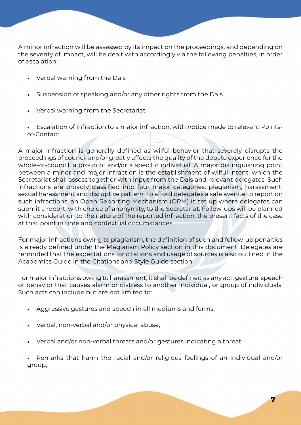A minor infraction will be assessed by its impact on the proceedings, and depending on the severity of impact, will be dealt with accordingly via the following penalties, in order of escalation:

- Verbal warning from the Dais
- Suspension of speaking and/or any other rights from the Dais
- Verbal warning from the Secretariat
- Escalation of infraction to a major infraction, with notice made to relevant Pointsof-Contact

A major infraction is generally defined as wilful behavior that severely disrupts the proceedings of council and/or greatly affects the quality of the debate experience for the whole-of-council, a group of and/or a specific individual. A major distinguishing point between a minor and major infraction is the establishment of wilful intent, which the Secretariat shall assess together with input from the Dais and relevant delegates. Such infractions are broadly classified into four major categories: plagiarism, harassment, sexual harassment and disruptive pattern. To afford delegates a safe avenue to report on such infractions, an Open Reporting Mechanism (ORM) is set up where delegates can submit a report, with choice of anonymity, to the Secretariat. Follow-ups will be planned with consideration to the nature of the reported infraction, the present facts of the case at that point in time and contextual circumstances.

For major infractions owing to plagiarism, the definition of such and follow-up penalties is already defined under the Plagiarism Policy section in this document. Delegates are reminded that the expectations for citations and usage of sources is also outlined in the Academics Guide in the Citations and Style Guide section.

For major infractions owing to harassment, it shall be defined as any act, gesture, speech or behavior that causes alarm or distress to another individual, or group of individuals. Such acts can include but are not limited to:

- Aggressive gestures and speech in all mediums and forms,
- Verbal, non-verbal and/or physical abuse,
- Verbal and/or non-verbal threats and/or gestures indicating a threat,

• Remarks that harm the racial and/or religious feelings of an individual and/or group;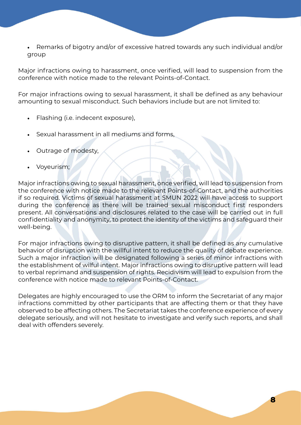• Remarks of bigotry and/or of excessive hatred towards any such individual and/or group

Major infractions owing to harassment, once verified, will lead to suspension from the conference with notice made to the relevant Points-of-Contact.

For major infractions owing to sexual harassment, it shall be defined as any behaviour amounting to sexual misconduct. Such behaviors include but are not limited to:

- Flashing (i.e. indecent exposure),
- Sexual harassment in all mediums and forms,
- Outrage of modesty,
- Voyeurism;

Major infractions owing to sexual harassment, once verified, will lead to suspension from the conference with notice made to the relevant Points-of-Contact, and the authorities if so required. Victims of sexual harassment at SMUN 2022 will have access to support during the conference as there will be trained sexual misconduct first responders present. All conversations and disclosures related to the case will be carried out in full confidentiality and anonymity, to protect the identity of the victims and safeguard their well-being.

For major infractions owing to disruptive pattern, it shall be defined as any cumulative behavior of disruption with the willful intent to reduce the quality of debate experience. Such a major infraction will be designated following a series of minor infractions with the establishment of wilful intent. Major infractions owing to disruptive pattern will lead to verbal reprimand and suspension of rights. Recidivism will lead to expulsion from the conference with notice made to relevant Points-of-Contact.

Delegates are highly encouraged to use the ORM to inform the Secretariat of any major infractions committed by other participants that are affecting them or that they have observed to be affecting others. The Secretariat takes the conference experience of every delegate seriously, and will not hesitate to investigate and verify such reports, and shall deal with offenders severely.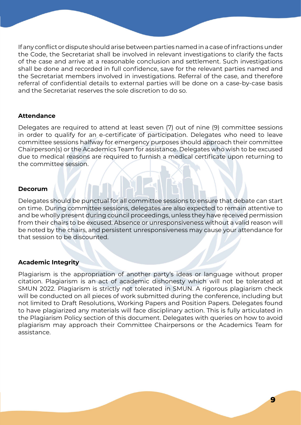<span id="page-8-0"></span>If any conflict or dispute should arise between parties named in a case of infractions under the Code, the Secretariat shall be involved in relevant investigations to clarify the facts of the case and arrive at a reasonable conclusion and settlement. Such investigations shall be done and recorded in full confidence, save for the relevant parties named and the Secretariat members involved in investigations. Referral of the case, and therefore referral of confidential details to external parties will be done on a case-by-case basis and the Secretariat reserves the sole discretion to do so.

#### **Attendance**

Delegates are required to attend at least seven (7) out of nine (9) committee sessions in order to qualify for an e-certificate of participation. Delegates who need to leave committee sessions halfway for emergency purposes should approach their committee Chairperson(s) or the Academics Team for assistance. Delegates who wish to be excused due to medical reasons are required to furnish a medical certificate upon returning to the committee session.

#### **Decorum**

Delegates should be punctual for all committee sessions to ensure that debate can start on time. During committee sessions, delegates are also expected to remain attentive to and be wholly present during council proceedings, unless they have received permission from their chairs to be excused. Absence or unresponsiveness without a valid reason will be noted by the chairs, and persistent unresponsiveness may cause your attendance for that session to be discounted.

#### **Academic Integrity**

Plagiarism is the appropriation of another party's ideas or language without proper citation. Plagiarism is an act of academic dishonesty which will not be tolerated at SMUN 2022. Plagiarism is strictly not tolerated in SMUN. A rigorous plagiarism check will be conducted on all pieces of work submitted during the conference, including but not limited to Draft Resolutions, Working Papers and Position Papers. Delegates found to have plagiarized any materials will face disciplinary action. This is fully articulated in the Plagiarism Policy section of this document. Delegates with queries on how to avoid plagiarism may approach their Committee Chairpersons or the Academics Team for assistance.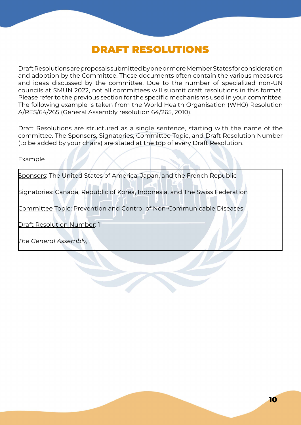### DRAFT RESOLUTIONS

<span id="page-9-0"></span>Draft Resolutions are proposals submitted by one or more Member States for consideration and adoption by the Committee. These documents often contain the various measures and ideas discussed by the committee. Due to the number of specialized non-UN councils at SMUN 2022, not all committees will submit draft resolutions in this format. Please refer to the previous section for the specific mechanisms used in your committee. The following example is taken from the World Health Organisation (WHO) Resolution A/RES/64/265 (General Assembly resolution 64/265, 2010).

Draft Resolutions are structured as a single sentence, starting with the name of the committee. The Sponsors, Signatories, Committee Topic, and Draft Resolution Number (to be added by your chairs) are stated at the top of every Draft Resolution.

#### Example

Sponsors: The United States of America, Japan, and the French Republic

Signatories: Canada, Republic of Korea, Indonesia, and The Swiss Federation

Committee Topic: Prevention and Control of Non-Communicable Diseases

Draft Resolution Number: 1

*The General Assembly,*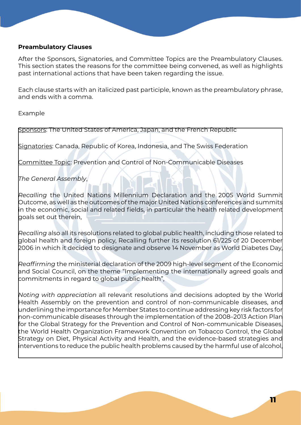#### <span id="page-10-0"></span>**Preambulatory Clauses**

After the Sponsors, Signatories, and Committee Topics are the Preambulatory Clauses. This section states the reasons for the committee being convened, as well as highlights past international actions that have been taken regarding the issue.

Each clause starts with an italicized past participle, known as the preambulatory phrase, and ends with a comma.

Example

Sponsors: The United States of America, Japan, and the French Republic

Signatories: Canada, Republic of Korea, Indonesia, and The Swiss Federation

Committee Topic: Prevention and Control of Non-Communicable Diseases

*The General Assembly*,

*Recalling* the United Nations Millennium Declaration and the 2005 World Summit Outcome, as well as the outcomes of the major United Nations conferences and summits in the economic, social and related fields, in particular the health related development goals set out therein,

*Recalling* also all its resolutions related to global public health, including those related to global health and foreign policy, Recalling further its resolution 61/225 of 20 December 2006 in which it decided to designate and observe 14 November as World Diabetes Day,

*Reaffirming* the ministerial declaration of the 2009 high-level segment of the Economic and Social Council, on the theme "Implementing the internationally agreed goals and commitments in regard to global public health",

*Noting with appreciation* all relevant resolutions and decisions adopted by the World Health Assembly on the prevention and control of non-communicable diseases, and underlining the importance for Member States to continue addressing key risk factors for non-communicable diseases through the implementation of the 2008–2013 Action Plan for the Global Strategy for the Prevention and Control of Non-communicable Diseases, the World Health Organization Framework Convention on Tobacco Control, the Global Strategy on Diet, Physical Activity and Health, and the evidence-based strategies and interventions to reduce the public health problems caused by the harmful use of alcohol,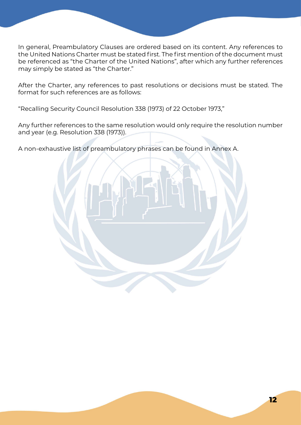In general, Preambulatory Clauses are ordered based on its content. Any references to the United Nations Charter must be stated first. The first mention of the document must be referenced as "the Charter of the United Nations", after which any further references may simply be stated as "the Charter."

After the Charter, any references to past resolutions or decisions must be stated. The format for such references are as follows:

"Recalling Security Council Resolution 338 (1973) of 22 October 1973,"

Any further references to the same resolution would only require the resolution number and year (e.g. Resolution 338 (1973)).

A non-exhaustive list of preambulatory phrases can be found in Annex A.

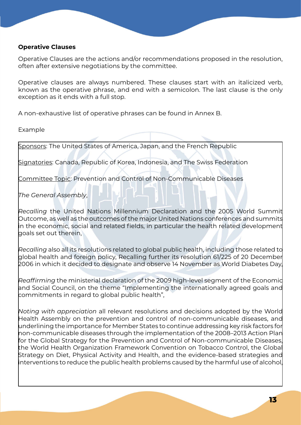#### <span id="page-12-0"></span>**Operative Clauses**

Operative Clauses are the actions and/or recommendations proposed in the resolution, often after extensive negotiations by the committee.

Operative clauses are always numbered. These clauses start with an italicized verb, known as the operative phrase, and end with a semicolon. The last clause is the only exception as it ends with a full stop.

A non-exhaustive list of operative phrases can be found in Annex B.

Example

Sponsors: The United States of America, Japan, and the French Republic

Signatories: Canada, Republic of Korea, Indonesia, and The Swiss Federation

Committee Topic: Prevention and Control of Non-Communicable Diseases

*The General Assembly*,

*Recalling* the United Nations Millennium Declaration and the 2005 World Summit Outcome, as well as the outcomes of the major United Nations conferences and summits in the economic, social and related fields, in particular the health related development goals set out therein,

*Recalling* also all its resolutions related to global public health, including those related to global health and foreign policy, Recalling further its resolution 61/225 of 20 December 2006 in which it decided to designate and observe 14 November as World Diabetes Day,

*Reaffirming* the ministerial declaration of the 2009 high-level segment of the Economic and Social Council, on the theme "Implementing the internationally agreed goals and commitments in regard to global public health",

*Noting with appreciation* all relevant resolutions and decisions adopted by the World Health Assembly on the prevention and control of non-communicable diseases, and underlining the importance for Member States to continue addressing key risk factors for non-communicable diseases through the implementation of the 2008–2013 Action Plan for the Global Strategy for the Prevention and Control of Non-communicable Diseases, the World Health Organization Framework Convention on Tobacco Control, the Globa Strategy on Diet, Physical Activity and Health, and the evidence-based strategies and interventions to reduce the public health problems caused by the harmful use of alcohol,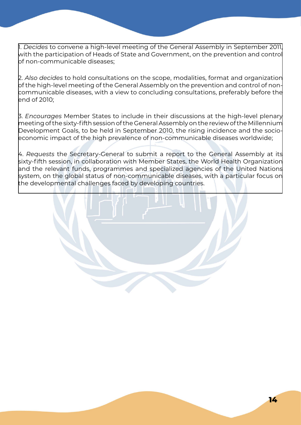1. *Decides* to convene a high-level meeting of the General Assembly in September 2011, with the participation of Heads of State and Government, on the prevention and control bf non-communicable diseases:

2. *Also decides* to hold consultations on the scope, modalities, format and organization of the high-level meeting of the General Assembly on the prevention and control of noncommunicable diseases, with a view to concluding consultations, preferably before the end of 2010;

3. *Encourages* Member States to include in their discussions at the high-level plenary meeting of the sixty-fifth session of the General Assembly on the review of the Millennium Development Goals, to be held in September 2010, the rising incidence and the socioeconomic impact of the high prevalence of non-communicable diseases worldwide;

4. *Requests* the Secretary-General to submit a report to the General Assembly at its sixty-fifth session, in collaboration with Member States, the World Health Organization and the relevant funds, programmes and specialized agencies of the United Nations system, on the global status of non-communicable diseases, with a particular focus on the developmental challenges faced by developing countries.

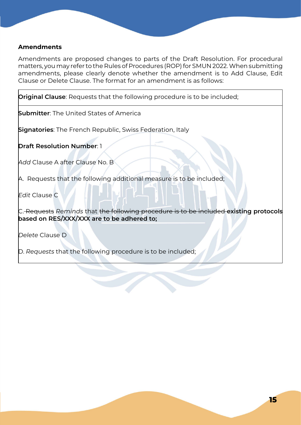#### <span id="page-14-0"></span>**Amendments**

Amendments are proposed changes to parts of the Draft Resolution. For procedural matters, you may refer to the Rules of Procedures (ROP) for SMUN 2022. When submitting amendments, please clearly denote whether the amendment is to Add Clause, Edit Clause or Delete Clause. The format for an amendment is as follows:

**Original Clause**: Requests that the following procedure is to be included;

**Submitter**: The United States of America

**Signatories**: The French Republic, Swiss Federation, Italy

**Draft Resolution Number**: 1

*Add* Clause A after Clause No. B

A. Requests that the following additional measure is to be included;

*Edit* Clause C

C. Requests *Reminds* that the following procedure is to be included **existing protocols based on RES/XXX/XXX are to be adhered to;**

*Delete* Clause D

D. *Requests* that the following procedure is to be included;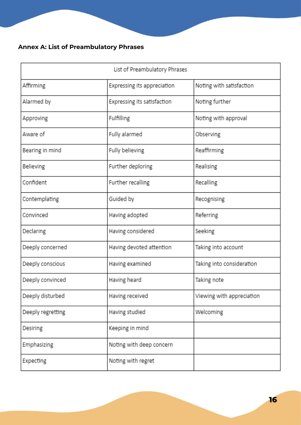### **Annex A: List of Preambulatory Phrases**

| List of Preambulatory Phrases |                             |                           |  |  |
|-------------------------------|-----------------------------|---------------------------|--|--|
| Affirming                     | Expressing its appreciation | Noting with satisfaction  |  |  |
| Alarmed by                    | Expressing its satisfaction | Noting further            |  |  |
| Approving                     | Fulfilling                  | Noting with approval      |  |  |
| Aware of                      | Fully alarmed               | Observing                 |  |  |
| Bearing in mind               | Fully believing             | Reaffirming               |  |  |
| Believing                     | Further deploring           | Realising                 |  |  |
| Confident                     | Further recalling           | Recalling                 |  |  |
| Contemplating                 | Guided by                   | Recognising               |  |  |
| Convinced                     | Having adopted              | Referring                 |  |  |
| Declaring                     | Having considered           | Seeking                   |  |  |
| Deeply concerned              | Having devoted attention    | Taking into account       |  |  |
| Deeply conscious              | Having examined             | Taking into consideration |  |  |
| Deeply convinced              | Having heard                | Taking note               |  |  |
| Deeply disturbed              | Having received             | Viewing with appreciation |  |  |
| Deeply regretting             | Having studied              | Welcoming                 |  |  |
| Desiring                      | Keeping in mind             |                           |  |  |
| Emphasizing                   | Noting with deep concern    |                           |  |  |
| Expecting                     | Noting with regret          |                           |  |  |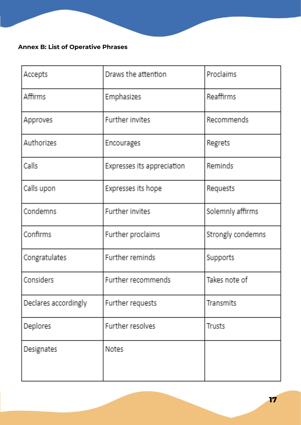### **Annex B: List of Operative Phrases**

| Accepts              | Draws the attention        | Proclaims         |
|----------------------|----------------------------|-------------------|
| Affirms              | Emphasizes                 | Reaffirms         |
| Approves             | Further invites            | Recommends        |
| Authorizes           | Encourages                 | Regrets           |
| Calls                | Expresses its appreciation | Reminds           |
| Calls upon           | Expresses its hope         | Requests          |
| Condemns             | Further invites            | Solemnly affirms  |
| Confirms             | Further proclaims          | Strongly condemns |
| Congratulates        | Further reminds            | Supports          |
| Considers            | Further recommends         | Takes note of     |
| Declares accordingly | Further requests           | Transmits         |
| Deplores             | Further resolves           | Trusts            |
| Designates           | <b>Notes</b>               |                   |
|                      |                            |                   |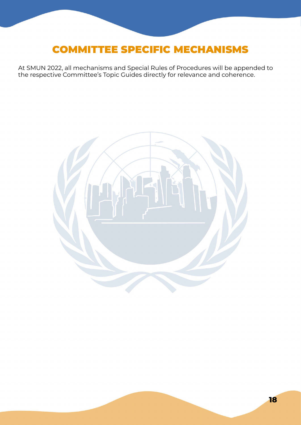## <span id="page-17-0"></span>COMMITTEE SPECIFIC MECHANISMS

At SMUN 2022, all mechanisms and Special Rules of Procedures will be appended to the respective Committee's Topic Guides directly for relevance and coherence.

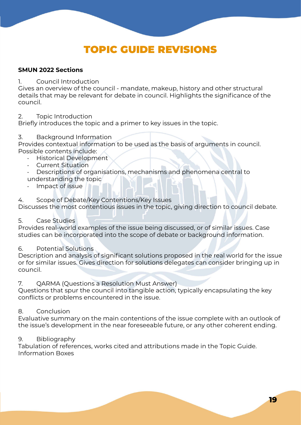## TOPIC GUIDE REVISIONS

#### <span id="page-18-0"></span>**SMUN 2022 Sections**

#### 1. Council Introduction

Gives an overview of the council - mandate, makeup, history and other structural details that may be relevant for debate in council. Highlights the significance of the council.

#### 2. Topic Introduction

Briefly introduces the topic and a primer to key issues in the topic.

#### 3. Background Information

Provides contextual information to be used as the basis of arguments in council. Possible contents include:

- Historical Development
- Current Situation
- Descriptions of organisations, mechanisms and phenomena central to understanding the topic
- Impact of issue

#### 4. Scope of Debate/Key Contentions/Key Issues

Discusses the most contentious issues in the topic, giving direction to council debate.

#### 5. Case Studies

Provides real-world examples of the issue being discussed, or of similar issues. Case studies can be incorporated into the scope of debate or background information.

#### 6. Potential Solutions

Description and analysis of significant solutions proposed in the real world for the issue or for similar issues. Gives direction for solutions delegates can consider bringing up in council.

#### 7. QARMA (Questions a Resolution Must Answer)

Questions that spur the council into tangible action, typically encapsulating the key conflicts or problems encountered in the issue.

#### 8. Conclusion

Evaluative summary on the main contentions of the issue complete with an outlook of the issue's development in the near foreseeable future, or any other coherent ending.

#### 9. Bibliography

Tabulation of references, works cited and attributions made in the Topic Guide. Information Boxes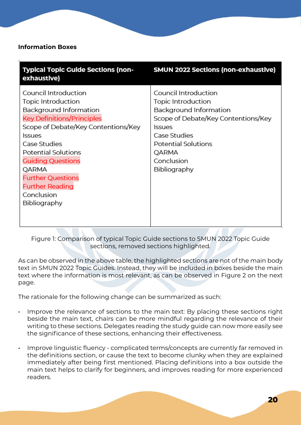#### <span id="page-19-0"></span>**Information Boxes**

| <b>Typical Topic Guide Sections (non-</b><br>exhaustive)                                                                                                                                                                                                                                                                         | SMUN 2022 Sections (non-exhaustive)                                                                                                                                                                |
|----------------------------------------------------------------------------------------------------------------------------------------------------------------------------------------------------------------------------------------------------------------------------------------------------------------------------------|----------------------------------------------------------------------------------------------------------------------------------------------------------------------------------------------------|
| Council Introduction<br>Topic Introduction<br>Background Information<br><b>Key Definitions/Principles</b><br>Scope of Debate/Key Contentions/Key<br>ssues<br>Case Studies<br><b>Potential Solutions</b><br><b>Guiding Questions</b><br>QARMA<br><b>Further Questions</b><br><b>Further Reading</b><br>Conclusion<br>Bibliography | Council Introduction<br>Topic Introduction<br>Background Information<br>Scope of Debate/Key Contentions/Key<br>ssues<br>Case Studies<br>Potential Solutions<br>QARMA<br>Conclusion<br>Bibliography |

Figure 1: Comparison of typical Topic Guide sections to SMUN 2022 Topic Guide sections, removed sections highlighted.

As can be observed in the above table, the highlighted sections are not of the main body text in SMUN 2022 Topic Guides. Instead, they will be included in boxes beside the main text where the information is most relevant, as can be observed in Figure 2 on the next page.

The rationale for the following change can be summarized as such:

- Improve the relevance of sections to the main text: By placing these sections right beside the main text, chairs can be more mindful regarding the relevance of their writing to these sections. Delegates reading the study guide can now more easily see the significance of these sections, enhancing their effectiveness.
- Improve linguistic fluency complicated terms/concepts are currently far removed in the definitions section, or cause the text to become clunky when they are explained immediately after being first mentioned. Placing definitions into a box outside the main text helps to clarify for beginners, and improves reading for more experienced readers.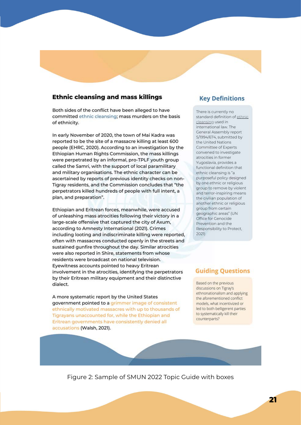#### **Ethnic cleansing and mass killings**

Both sides of the conflict have been alleged to have committed ethnic cleansing; mass murders on the basis of ethnicity.

In early November of 2020, the town of Mai Kadra was reported to be the site of a massacre killing at least 600 people (EHRC, 2020). According to an investigation by the Ethiopian Human Rights Commission, the mass killings were perpetrated by an informal, pro-TPLF youth group called the Samri, with the support of local paramilitary and military organisations. The ethnic character can be ascertained by reports of previous identity checks on non-Tigray residents, and the Commission concludes that "the perpetrators killed hundreds of people with full intent, a plan, and preparation".

Ethiopian and Eritrean forces, meanwhile, were accused of unleashing mass atrocities following their victory in a large-scale offensive that captured the city of Axum, according to Amnesty International (2021). Crimes including looting and indiscriminate killing were reported, often with massacres conducted openly in the streets and sustained qunfire throughout the day. Similar atrocities were also reported in Shire, statements from whose residents were broadcast on national television. Eyewitness accounts pointed to heavy Eritrean involvement in the atrocities, identifying the perpetrators by their Eritrean military equipment and their distinctive dialect.

A more systematic report by the United States government pointed to a grimmer image of consistent ethnically motivated massacres with up to thousands of Tigrayans unaccounted for, while the Ethiopian and Eritrean governments have consistently denied all accusations (Walsh, 2021).

#### **Key Definitions**

There is currently no standard definition of ethnic cleansing used in international law. The General Assembly report S/1994/674, submitted by the United Nations Committee of Experts convened to investigate atrocities in former Yugoslavia, provides a functional definition that ethnic cleansing is "a purposeful policy designed by one ethnic or religious group to remove by violent and terror-inspiring means the civilian population of another ethnic or religious group from certain geographic areas" (UN Office for Genocide Prevention and the Responsibility to Protect, 2021

#### **Guiding Questions**

Based on the previous discussions on Tigray's ethnonationalism and applying the aforementioned conflict models, what incentivized or led to both belligerent parties to systematically kill their counterparts?

Figure 2: Sample of SMUN 2022 Topic Guide with boxes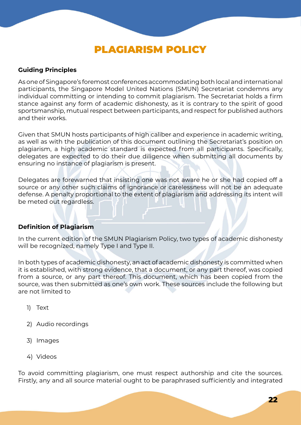## PLAGIARISM POLICY

#### <span id="page-21-0"></span>**Guiding Principles**

As one of Singapore's foremost conferences accommodating both local and international participants, the Singapore Model United Nations (SMUN) Secretariat condemns any individual committing or intending to commit plagiarism. The Secretariat holds a firm stance against any form of academic dishonesty, as it is contrary to the spirit of good sportsmanship, mutual respect between participants, and respect for published authors and their works.

Given that SMUN hosts participants of high caliber and experience in academic writing, as well as with the publication of this document outlining the Secretariat's position on plagiarism, a high academic standard is expected from all participants. Specifically, delegates are expected to do their due diligence when submitting all documents by ensuring no instance of plagiarism is present.

Delegates are forewarned that insisting one was not aware he or she had copied off a source or any other such claims of ignorance or carelessness will not be an adequate defense. A penalty proportional to the extent of plagiarism and addressing its intent will be meted out regardless.

#### **Definition of Plagiarism**

In the current edition of the SMUN Plagiarism Policy, two types of academic dishonesty will be recognized, namely Type I and Type II.

In both types of academic dishonesty, an act of academic dishonesty is committed when it is established, with strong evidence, that a document, or any part thereof, was copied from a source, or any part thereof. This document, which has been copied from the source, was then submitted as one's own work. These sources include the following but are not limited to

- 1) Text
- 2) Audio recordings
- 3) Images
- 4) Videos

To avoid committing plagiarism, one must respect authorship and cite the sources. Firstly, any and all source material ought to be paraphrased sufficiently and integrated

**22**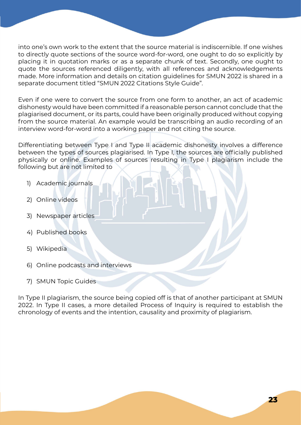into one's own work to the extent that the source material is indiscernible. If one wishes to directly quote sections of the source word-for-word, one ought to do so explicitly by placing it in quotation marks or as a separate chunk of text. Secondly, one ought to quote the sources referenced diligently, with all references and acknowledgements made. More information and details on citation guidelines for SMUN 2022 is shared in a separate document titled "SMUN 2022 Citations Style Guide".

Even if one were to convert the source from one form to another, an act of academic dishonesty would have been committed if a reasonable person cannot conclude that the plagiarised document, or its parts, could have been originally produced without copying from the source material. An example would be transcribing an audio recording of an interview word-for-word into a working paper and not citing the source.

Differentiating between Type I and Type II academic dishonesty involves a difference between the types of sources plagiarised. In Type I, the sources are officially published physically or online. Examples of sources resulting in Type I plagiarism include the following but are not limited to

- 1) Academic journals
- 2) Online videos
- 3) Newspaper articles
- 4) Published books
- 5) Wikipedia
- 6) Online podcasts and interviews
- 7) SMUN Topic Guides

In Type II plagiarism, the source being copied off is that of another participant at SMUN 2022. In Type II cases, a more detailed Process of Inquiry is required to establish the chronology of events and the intention, causality and proximity of plagiarism.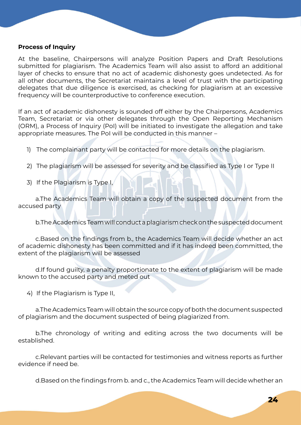#### <span id="page-23-0"></span>**Process of Inquiry**

At the baseline, Chairpersons will analyze Position Papers and Draft Resolutions submitted for plagiarism. The Academics Team will also assist to afford an additional layer of checks to ensure that no act of academic dishonesty goes undetected. As for all other documents, the Secretariat maintains a level of trust with the participating delegates that due diligence is exercised, as checking for plagiarism at an excessive frequency will be counterproductive to conference execution.

If an act of academic dishonesty is sounded off either by the Chairpersons, Academics Team, Secretariat or via other delegates through the Open Reporting Mechanism (ORM), a Process of Inquiry (PoI) will be initiated to investigate the allegation and take appropriate measures. The PoI will be conducted in this manner –

- 1) The complainant party will be contacted for more details on the plagiarism.
- 2) The plagiarism will be assessed for severity and be classified as Type I or Type II
- 3) If the Plagiarism is Type I,

a.The Academics Team will obtain a copy of the suspected document from the accused party

b.The Academics Team will conduct a plagiarism check on the suspected document

c.Based on the findings from b., the Academics Team will decide whether an act of academic dishonesty has been committed and if it has indeed been committed, the extent of the plagiarism will be assessed

d.If found guilty, a penalty proportionate to the extent of plagiarism will be made known to the accused party and meted out

4) If the Plagiarism is Type II,

a.The Academics Team will obtain the source copy of both the document suspected of plagiarism and the document suspected of being plagiarized from.

b.The chronology of writing and editing across the two documents will be established.

c.Relevant parties will be contacted for testimonies and witness reports as further evidence if need be.

d.Based on the findings from b. and c., the Academics Team will decide whether an

**24**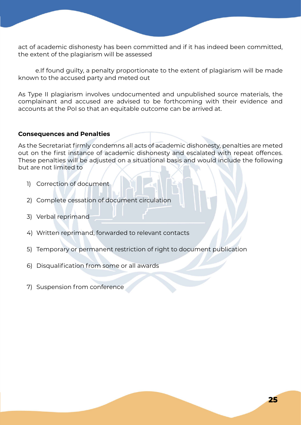<span id="page-24-0"></span>act of academic dishonesty has been committed and if it has indeed been committed, the extent of the plagiarism will be assessed

e.If found guilty, a penalty proportionate to the extent of plagiarism will be made known to the accused party and meted out

As Type II plagiarism involves undocumented and unpublished source materials, the complainant and accused are advised to be forthcoming with their evidence and accounts at the PoI so that an equitable outcome can be arrived at.

#### **Consequences and Penalties**

As the Secretariat firmly condemns all acts of academic dishonesty, penalties are meted out on the first instance of academic dishonesty and escalated with repeat offences. These penalties will be adjusted on a situational basis and would include the following but are not limited to

- 1) Correction of document
- 2) Complete cessation of document circulation
- 3) Verbal reprimand
- 4) Written reprimand, forwarded to relevant contacts
- 5) Temporary or permanent restriction of right to document publication
- 6) Disqualification from some or all awards
- 7) Suspension from conference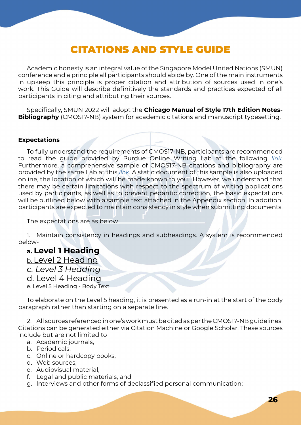### CITATIONS AND STYLE GUIDE

<span id="page-25-0"></span>Academic honesty is an integral value of the Singapore Model United Nations (SMUN) conference and a principle all participants should abide by. One of the main instruments in upkeep this principle is proper citation and attribution of sources used in one's work. This Guide will describe definitively the standards and practices expected of all participants in citing and attributing their sources.

Specifically, SMUN 2022 will adopt the **Chicago Manual of Style 17th Edition Notes-Bibliography** (CMOS17-NB) system for academic citations and manuscript typesetting.

#### **Expectations**

To fully understand the requirements of CMOS17-NB, participants are recommended to read the guide provided by Purdue Online Writing Lab at the following *[link.](https://owl.purdue.edu/owl/research_and_citation/chicago_manual_17th_edition/cmos_formatting_and_style_guide/general_format.html)*  Furthermore, a comprehensive sample of CMOS17-NB citations and bibliography are provided by the same Lab at this *[link](https://owl.purdue.edu/owl/research_and_citation/chicago_manual_17th_edition/cmos_formatting_and_style_guide/cmos_nb_sample_paper.html)*. A static document of this sample is also uploaded online, the location of which will be made known to you. However, we understand that there may be certain limitations with respect to the spectrum of writing applications used by participants, as well as to prevent pedantic correction, the basic expectations will be outlined below with a sample text attached in the Appendix section. In addition, participants are expected to maintain consistency in style when submitting documents.

The expectations are as below

1. Maintain consistency in headings and subheadings. A system is recommended below-

#### **a. Level 1 Heading**

b. Level 2 Heading

- *c. Level 3 Heading*
- d. Level 4 Heading
- e. Level 5 Heading Body Text

To elaborate on the Level 5 heading, it is presented as a run-in at the start of the body paragraph rather than starting on a separate line.

2. All sources referenced in one's work must be cited as per the CMOS17-NB guidelines. Citations can be generated either via Citation Machine or Google Scholar. These sources include but are not limited to

- a. Academic journals,
- b. Periodicals,
- c. Online or hardcopy books,
- d. Web sources,
- e. Audiovisual material,
- f. Legal and public materials, and
- g. Interviews and other forms of declassified personal communication;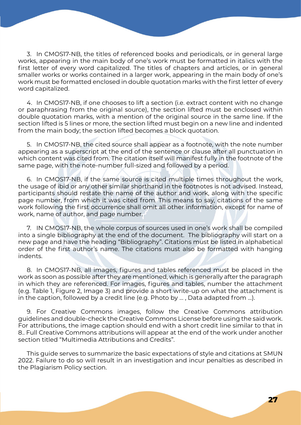3. In CMOS17-NB, the titles of referenced books and periodicals, or in general large works, appearing in the main body of one's work must be formatted in italics with the first letter of every word capitalized. The titles of chapters and articles, or in general smaller works or works contained in a larger work, appearing in the main body of one's work must be formatted enclosed in double quotation marks with the first letter of every word capitalized.

4. In CMOS17-NB, if one chooses to lift a section (i.e. extract content with no change or paraphrasing from the original source), the section lifted must be enclosed within double quotation marks, with a mention of the original source in the same line. If the section lifted is 5 lines or more, the section lifted must begin on a new line and indented from the main body; the section lifted becomes a block quotation.

5. In CMOS17-NB, the cited source shall appear as a footnote, with the note number appearing as a superscript at the end of the sentence or clause after all punctuation in which content was cited from. The citation itself will manifest fully in the footnote of the same page, with the note-number full-sized and followed by a period.

6. In CMOS17-NB, if the same source is cited multiple times throughout the work, the usage of ibid or any other similar shorthand in the footnotes is not advised. Instead, participants should restate the name of the author and work, along with the specific page number, from which it was cited from. This means to say, citations of the same work following the first occurrence shall omit all other information, except for name of work, name of author, and page number.

7. IN CMOS17-NB, the whole corpus of sources used in one's work shall be compiled into a single bibliography at the end of the document. The bibliography will start on a new page and have the heading "Bibliography". Citations must be listed in alphabetical order of the first author's name. The citations must also be formatted with hanging indents.

8. In CMOS17-NB, all images, figures and tables referenced must be placed in the work as soon as possible after they are mentioned, which is generally after the paragraph in which they are referenced. For images, figures and tables, number the attachment (e.g. Table 1, Figure 2, Image 3) and provide a short write-up on what the attachment is in the caption, followed by a credit line (e.g. Photo by … , Data adapted from …).

9. For Creative Commons images, follow the Creative Commons attribution guidelines and double-check the Creative Commons License before using the said work. For attributions, the image caption should end with a short credit line similar to that in 8.. Full Creative Commons attributions will appear at the end of the work under another section titled "Multimedia Attributions and Credits".

This guide serves to summarize the basic expectations of style and citations at SMUN 2022. Failure to do so will result in an investigation and incur penalties as described in the Plagiarism Policy section.

**27**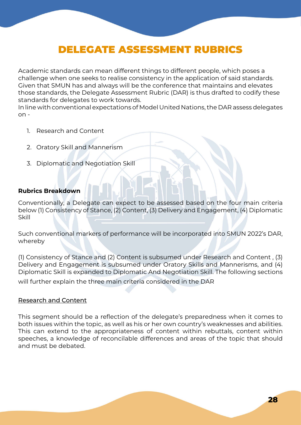### DELEGATE ASSESSMENT RUBRICS

<span id="page-27-0"></span>Academic standards can mean different things to different people, which poses a challenge when one seeks to realise consistency in the application of said standards. Given that SMUN has and always will be the conference that maintains and elevates those standards, the Delegate Assessment Rubric (DAR) is thus drafted to codify these standards for delegates to work towards.

In line with conventional expectations of Model United Nations, the DAR assess delegates  $on -$ 

- 1. Research and Content
- 2. Oratory Skill and Mannerism
- 3. Diplomatic and Negotiation Skill

#### **Rubrics Breakdown**

Conventionally, a Delegate can expect to be assessed based on the four main criteria below (1) Consistency of Stance, (2) Content, (3) Delivery and Engagement, (4) Diplomatic Skill

Such conventional markers of performance will be incorporated into SMUN 2022's DAR, whereby

(1) Consistency of Stance and (2) Content is subsumed under Research and Content , (3) Delivery and Engagement is subsumed under Oratory Skills and Mannerisms, and (4) Diplomatic Skill is expanded to Diplomatic And Negotiation Skill. The following sections

will further explain the three main criteria considered in the DAR

#### Research and Content

This segment should be a reflection of the delegate's preparedness when it comes to both issues within the topic, as well as his or her own country's weaknesses and abilities. This can extend to the appropriateness of content within rebuttals, content within speeches, a knowledge of reconcilable differences and areas of the topic that should and must be debated.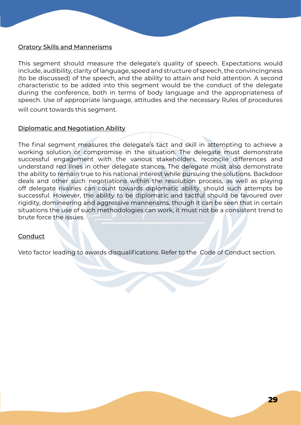#### Oratory Skills and Mannerisms

This segment should measure the delegate's quality of speech. Expectations would include, audibility, clarity of language, speed and structure of speech, the convincingness (to be discussed) of the speech, and the ability to attain and hold attention. A second characteristic to be added into this segment would be the conduct of the delegate during the conference, both in terms of body language and the appropriateness of speech. Use of appropriate language, attitudes and the necessary Rules of procedures will count towards this segment.

#### Diplomatic and Negotiation Ability

The final segment measures the delegate's tact and skill in attempting to achieve a working solution or compromise in the situation. The delegate must demonstrate successful engagement with the various stakeholders, reconcile differences and understand red lines in other delegate stances. The delegate must also demonstrate the ability to remain true to his national interest while pursuing the solutions. Backdoor deals and other such negotiations within the resolution process, as well as playing off delegate rivalries can count towards diplomatic ability, should such attempts be successful. However, the ability to be diplomatic and tactful should be favoured over rigidity, domineering and aggressive mannerisms, though it can be seen that in certain situations the use of such methodologies can work, it must not be a consistent trend to brute force the issues.

#### **Conduct**

Veto factor leading to awards disqualifications. Refer to the Code of Conduct section.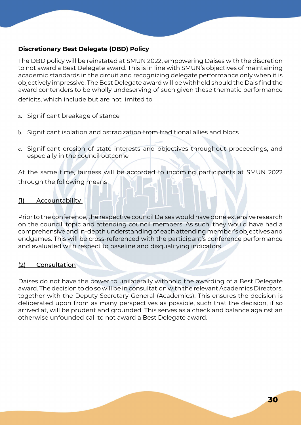#### <span id="page-29-0"></span>**Discretionary Best Delegate (DBD) Policy**

The DBD policy will be reinstated at SMUN 2022, empowering Daises with the discretion to not award a Best Delegate award. This is in line with SMUN's objectives of maintaining academic standards in the circuit and recognizing delegate performance only when it is objectively impressive. The Best Delegate award will be withheld should the Dais find the award contenders to be wholly undeserving of such given these thematic performance

deficits, which include but are not limited to

- a. Significant breakage of stance
- b. Significant isolation and ostracization from traditional allies and blocs
- c. Significant erosion of state interests and objectives throughout proceedings, and especially in the council outcome

At the same time, fairness will be accorded to incoming participants at SMUN 2022 through the following means

#### (1) Accountability

Prior to the conference, the respective council Daises would have done extensive research on the council, topic and attending council members. As such, they would have had a comprehensive and in-depth understanding of each attending member's objectives and endgames. This will be cross-referenced with the participant's conference performance and evaluated with respect to baseline and disqualifying indicators.

#### (2) Consultation

Daises do not have the power to unilaterally withhold the awarding of a Best Delegate award. The decision to do so will be in consultation with the relevant Academics Directors, together with the Deputy Secretary-General (Academics). This ensures the decision is deliberated upon from as many perspectives as possible, such that the decision, if so arrived at, will be prudent and grounded. This serves as a check and balance against an otherwise unfounded call to not award a Best Delegate award.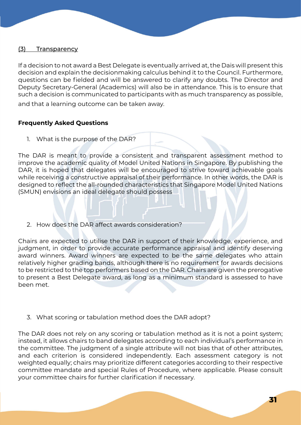#### (3) Transparency

If a decision to not award a Best Delegate is eventually arrived at, the Dais will present this decision and explain the decisionmaking calculus behind it to the Council. Furthermore, questions can be fielded and will be answered to clarify any doubts. The Director and Deputy Secretary-General (Academics) will also be in attendance. This is to ensure that such a decision is communicated to participants with as much transparency as possible,

and that a learning outcome can be taken away.

#### **Frequently Asked Questions**

1. What is the purpose of the DAR?

The DAR is meant to provide a consistent and transparent assessment method to improve the academic quality of Model United Nations in Singapore. By publishing the DAR, it is hoped that delegates will be encouraged to strive toward achievable goals while receiving a constructive appraisal of their performance. In other words, the DAR is designed to reflect the all-rounded characteristics that Singapore Model United Nations (SMUN) envisions an ideal delegate should possess

2. How does the DAR affect awards consideration?

Chairs are expected to utilise the DAR in support of their knowledge, experience, and judgment, in order to provide accurate performance appraisal and identify deserving award winners. Award winners are expected to be the same delegates who attain relatively higher grading bands, although there is no requirement for awards decisions to be restricted to the top performers based on the DAR. Chairs are given the prerogative to present a Best Delegate award, as long as a minimum standard is assessed to have been met.

3. What scoring or tabulation method does the DAR adopt?

The DAR does not rely on any scoring or tabulation method as it is not a point system; instead, it allows chairs to band delegates according to each individual's performance in the committee. The judgment of a single attribute will not bias that of other attributes, and each criterion is considered independently. Each assessment category is not weighted equally; chairs may prioritize different categories according to their respective committee mandate and special Rules of Procedure, where applicable. Please consult your committee chairs for further clarification if necessary.